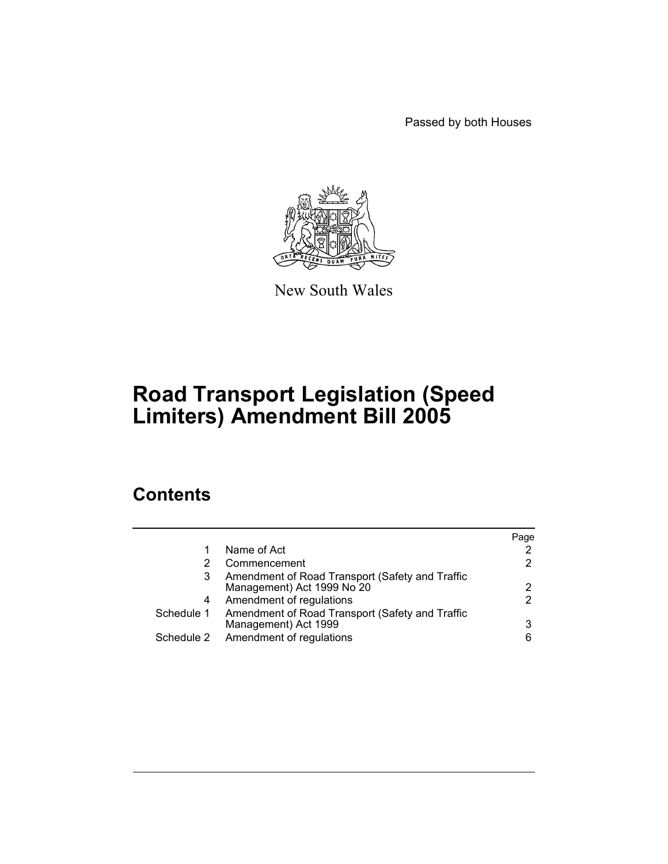Passed by both Houses



New South Wales

# **Road Transport Legislation (Speed Limiters) Amendment Bill 2005**

# **Contents**

|   |                                                                                    | Page |
|---|------------------------------------------------------------------------------------|------|
|   | Name of Act                                                                        |      |
| 2 | Commencement                                                                       |      |
| 3 | Amendment of Road Transport (Safety and Traffic<br>Management) Act 1999 No 20      |      |
| 4 | Amendment of regulations                                                           |      |
|   | Schedule 1 Amendment of Road Transport (Safety and Traffic<br>Management) Act 1999 |      |
|   | Schedule 2 Amendment of regulations                                                | 6    |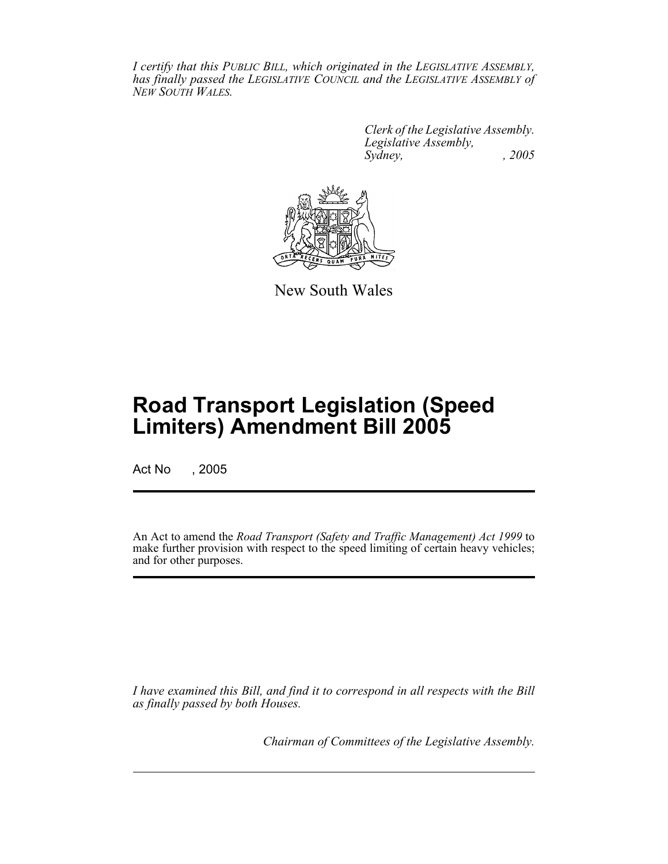*I certify that this PUBLIC BILL, which originated in the LEGISLATIVE ASSEMBLY, has finally passed the LEGISLATIVE COUNCIL and the LEGISLATIVE ASSEMBLY of NEW SOUTH WALES.*

> *Clerk of the Legislative Assembly. Legislative Assembly, Sydney, , 2005*



New South Wales

# **Road Transport Legislation (Speed Limiters) Amendment Bill 2005**

Act No , 2005

An Act to amend the *Road Transport (Safety and Traffic Management) Act 1999* to make further provision with respect to the speed limiting of certain heavy vehicles; and for other purposes.

*I have examined this Bill, and find it to correspond in all respects with the Bill as finally passed by both Houses.*

*Chairman of Committees of the Legislative Assembly.*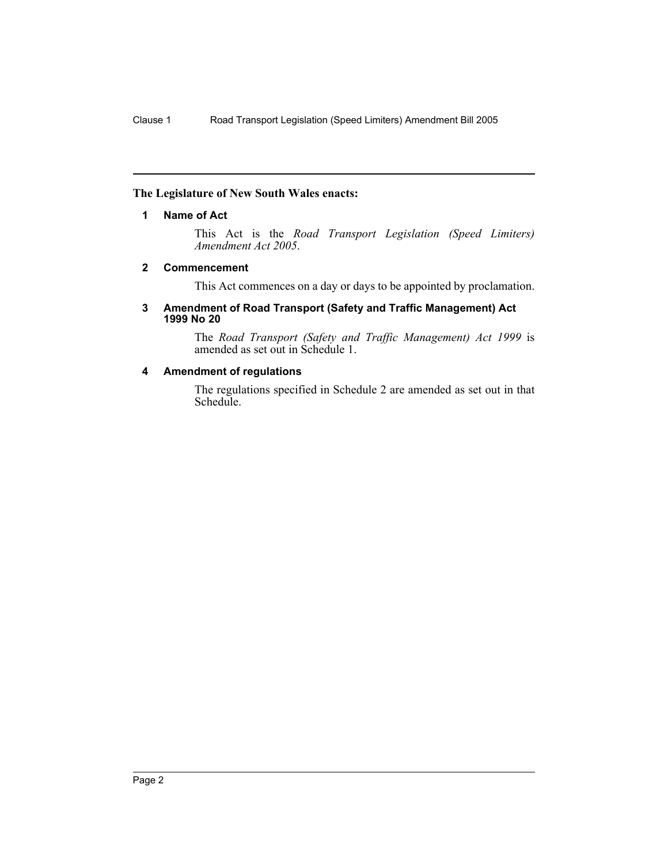#### **The Legislature of New South Wales enacts:**

#### **1 Name of Act**

This Act is the *Road Transport Legislation (Speed Limiters) Amendment Act 2005*.

#### **2 Commencement**

This Act commences on a day or days to be appointed by proclamation.

#### **3 Amendment of Road Transport (Safety and Traffic Management) Act 1999 No 20**

The *Road Transport (Safety and Traffic Management) Act 1999* is amended as set out in Schedule 1.

### **4 Amendment of regulations**

The regulations specified in Schedule 2 are amended as set out in that Schedule.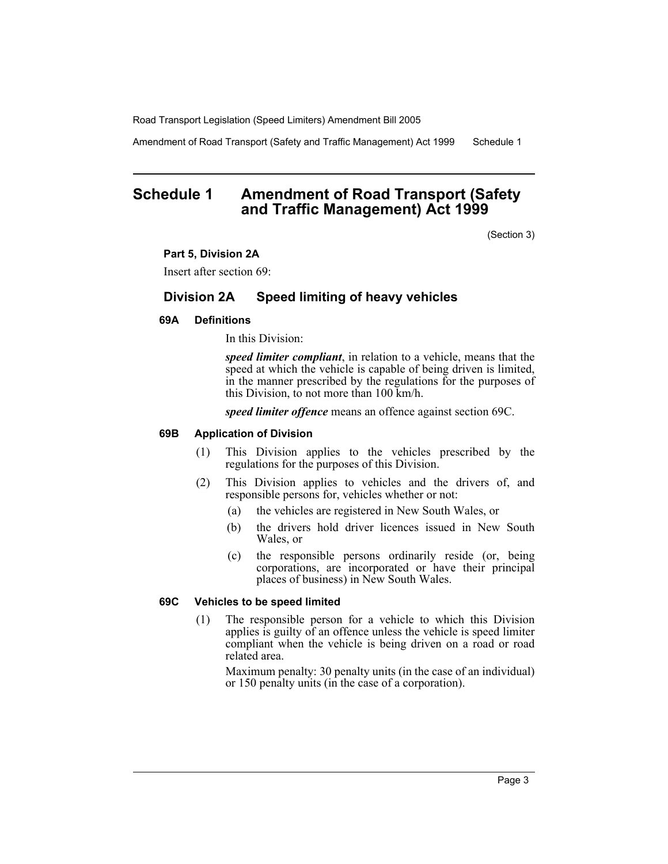Amendment of Road Transport (Safety and Traffic Management) Act 1999 Schedule 1

# **Schedule 1 Amendment of Road Transport (Safety and Traffic Management) Act 1999**

(Section 3)

#### **Part 5, Division 2A**

Insert after section 69:

## **Division 2A Speed limiting of heavy vehicles**

#### **69A Definitions**

In this Division:

*speed limiter compliant*, in relation to a vehicle, means that the speed at which the vehicle is capable of being driven is limited, in the manner prescribed by the regulations for the purposes of this Division, to not more than 100 km/h.

*speed limiter offence* means an offence against section 69C.

#### **69B Application of Division**

- (1) This Division applies to the vehicles prescribed by the regulations for the purposes of this Division.
- (2) This Division applies to vehicles and the drivers of, and responsible persons for, vehicles whether or not:
	- (a) the vehicles are registered in New South Wales, or
	- (b) the drivers hold driver licences issued in New South Wales, or
	- (c) the responsible persons ordinarily reside (or, being corporations, are incorporated or have their principal places of business) in New South Wales.

#### **69C Vehicles to be speed limited**

(1) The responsible person for a vehicle to which this Division applies is guilty of an offence unless the vehicle is speed limiter compliant when the vehicle is being driven on a road or road related area.

Maximum penalty: 30 penalty units (in the case of an individual) or 150 penalty units (in the case of a corporation).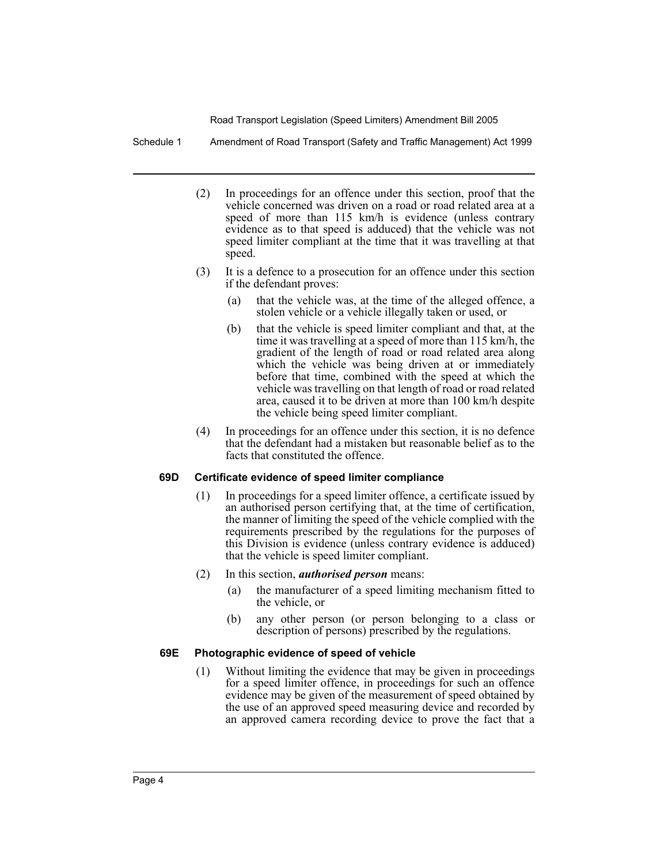Schedule 1 Amendment of Road Transport (Safety and Traffic Management) Act 1999

- (2) In proceedings for an offence under this section, proof that the vehicle concerned was driven on a road or road related area at a speed of more than 115 km/h is evidence (unless contrary evidence as to that speed is adduced) that the vehicle was not speed limiter compliant at the time that it was travelling at that speed.
- (3) It is a defence to a prosecution for an offence under this section if the defendant proves:
	- (a) that the vehicle was, at the time of the alleged offence, a stolen vehicle or a vehicle illegally taken or used, or
	- (b) that the vehicle is speed limiter compliant and that, at the time it was travelling at a speed of more than 115 km/h, the gradient of the length of road or road related area along which the vehicle was being driven at or immediately before that time, combined with the speed at which the vehicle was travelling on that length of road or road related area, caused it to be driven at more than 100 km/h despite the vehicle being speed limiter compliant.
- (4) In proceedings for an offence under this section, it is no defence that the defendant had a mistaken but reasonable belief as to the facts that constituted the offence.

#### **69D Certificate evidence of speed limiter compliance**

(1) In proceedings for a speed limiter offence, a certificate issued by an authorised person certifying that, at the time of certification, the manner of limiting the speed of the vehicle complied with the requirements prescribed by the regulations for the purposes of this Division is evidence (unless contrary evidence is adduced) that the vehicle is speed limiter compliant.

#### (2) In this section, *authorised person* means:

- (a) the manufacturer of a speed limiting mechanism fitted to the vehicle, or
- (b) any other person (or person belonging to a class or description of persons) prescribed by the regulations.

#### **69E Photographic evidence of speed of vehicle**

(1) Without limiting the evidence that may be given in proceedings for a speed limiter offence, in proceedings for such an offence evidence may be given of the measurement of speed obtained by the use of an approved speed measuring device and recorded by an approved camera recording device to prove the fact that a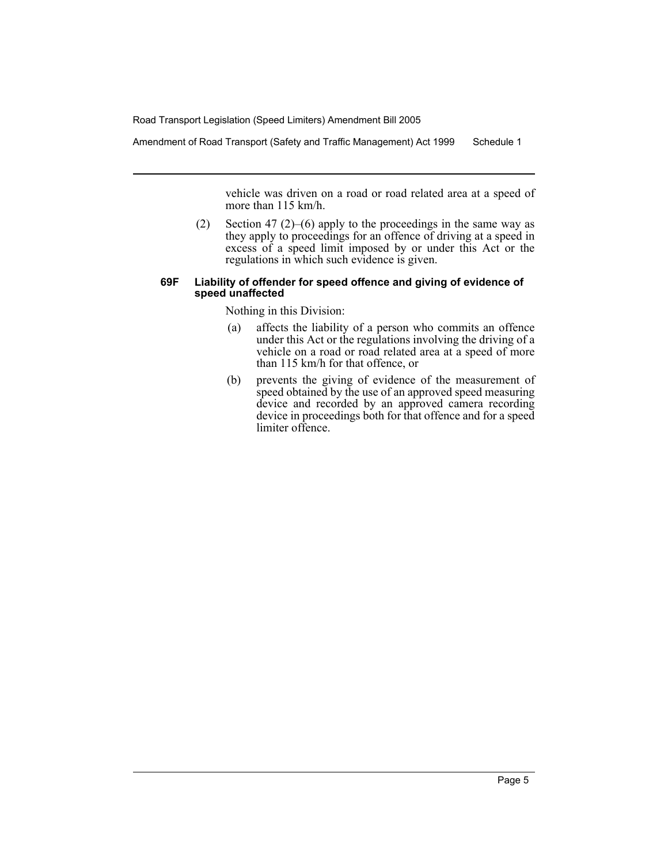Amendment of Road Transport (Safety and Traffic Management) Act 1999 Schedule 1

vehicle was driven on a road or road related area at a speed of more than 115 km/h.

(2) Section 47 (2)–(6) apply to the proceedings in the same way as they apply to proceedings for an offence of driving at a speed in excess of a speed limit imposed by or under this Act or the regulations in which such evidence is given.

#### **69F Liability of offender for speed offence and giving of evidence of speed unaffected**

Nothing in this Division:

- (a) affects the liability of a person who commits an offence under this Act or the regulations involving the driving of a vehicle on a road or road related area at a speed of more than 115 km/h for that offence, or
- (b) prevents the giving of evidence of the measurement of speed obtained by the use of an approved speed measuring device and recorded by an approved camera recording device in proceedings both for that offence and for a speed limiter offence.